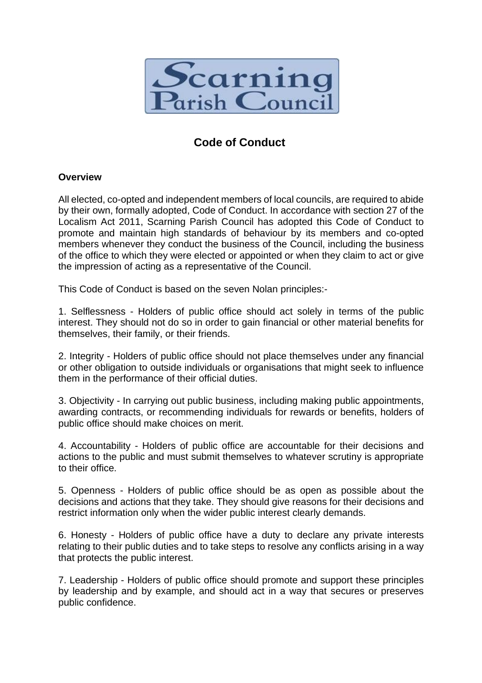

# **Code of Conduct**

# **Overview**

All elected, co-opted and independent members of local councils, are required to abide by their own, formally adopted, Code of Conduct. In accordance with section 27 of the Localism Act 2011, Scarning Parish Council has adopted this Code of Conduct to promote and maintain high standards of behaviour by its members and co-opted members whenever they conduct the business of the Council, including the business of the office to which they were elected or appointed or when they claim to act or give the impression of acting as a representative of the Council.

This Code of Conduct is based on the seven Nolan principles:-

1. Selflessness - Holders of public office should act solely in terms of the public interest. They should not do so in order to gain financial or other material benefits for themselves, their family, or their friends.

2. Integrity - Holders of public office should not place themselves under any financial or other obligation to outside individuals or organisations that might seek to influence them in the performance of their official duties.

3. Objectivity - In carrying out public business, including making public appointments, awarding contracts, or recommending individuals for rewards or benefits, holders of public office should make choices on merit.

4. Accountability - Holders of public office are accountable for their decisions and actions to the public and must submit themselves to whatever scrutiny is appropriate to their office.

5. Openness - Holders of public office should be as open as possible about the decisions and actions that they take. They should give reasons for their decisions and restrict information only when the wider public interest clearly demands.

6. Honesty - Holders of public office have a duty to declare any private interests relating to their public duties and to take steps to resolve any conflicts arising in a way that protects the public interest.

7. Leadership - Holders of public office should promote and support these principles by leadership and by example, and should act in a way that secures or preserves public confidence.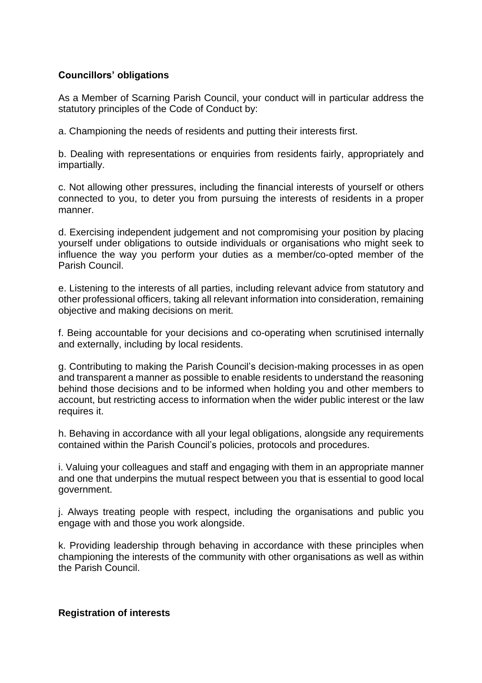# **Councillors' obligations**

As a Member of Scarning Parish Council, your conduct will in particular address the statutory principles of the Code of Conduct by:

a. Championing the needs of residents and putting their interests first.

b. Dealing with representations or enquiries from residents fairly, appropriately and impartially.

c. Not allowing other pressures, including the financial interests of yourself or others connected to you, to deter you from pursuing the interests of residents in a proper manner.

d. Exercising independent judgement and not compromising your position by placing yourself under obligations to outside individuals or organisations who might seek to influence the way you perform your duties as a member/co-opted member of the Parish Council.

e. Listening to the interests of all parties, including relevant advice from statutory and other professional officers, taking all relevant information into consideration, remaining objective and making decisions on merit.

f. Being accountable for your decisions and co-operating when scrutinised internally and externally, including by local residents.

g. Contributing to making the Parish Council's decision-making processes in as open and transparent a manner as possible to enable residents to understand the reasoning behind those decisions and to be informed when holding you and other members to account, but restricting access to information when the wider public interest or the law requires it.

h. Behaving in accordance with all your legal obligations, alongside any requirements contained within the Parish Council's policies, protocols and procedures.

i. Valuing your colleagues and staff and engaging with them in an appropriate manner and one that underpins the mutual respect between you that is essential to good local government.

j. Always treating people with respect, including the organisations and public you engage with and those you work alongside.

k. Providing leadership through behaving in accordance with these principles when championing the interests of the community with other organisations as well as within the Parish Council.

### **Registration of interests**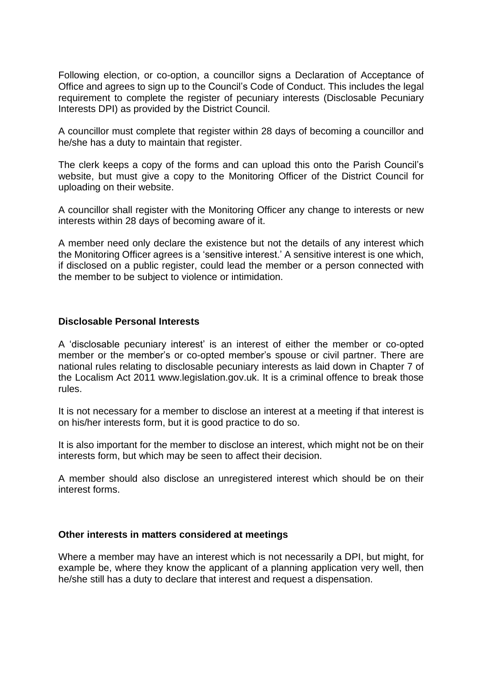Following election, or co-option, a councillor signs a Declaration of Acceptance of Office and agrees to sign up to the Council's Code of Conduct. This includes the legal requirement to complete the register of pecuniary interests (Disclosable Pecuniary Interests DPI) as provided by the District Council.

A councillor must complete that register within 28 days of becoming a councillor and he/she has a duty to maintain that register.

The clerk keeps a copy of the forms and can upload this onto the Parish Council's website, but must give a copy to the Monitoring Officer of the District Council for uploading on their website.

A councillor shall register with the Monitoring Officer any change to interests or new interests within 28 days of becoming aware of it.

A member need only declare the existence but not the details of any interest which the Monitoring Officer agrees is a 'sensitive interest.' A sensitive interest is one which, if disclosed on a public register, could lead the member or a person connected with the member to be subject to violence or intimidation.

## **Disclosable Personal Interests**

A 'disclosable pecuniary interest' is an interest of either the member or co-opted member or the member's or co-opted member's spouse or civil partner. There are national rules relating to disclosable pecuniary interests as laid down in Chapter 7 of the Localism Act 2011 www.legislation.gov.uk. It is a criminal offence to break those rules.

It is not necessary for a member to disclose an interest at a meeting if that interest is on his/her interests form, but it is good practice to do so.

It is also important for the member to disclose an interest, which might not be on their interests form, but which may be seen to affect their decision.

A member should also disclose an unregistered interest which should be on their interest forms.

## **Other interests in matters considered at meetings**

Where a member may have an interest which is not necessarily a DPI, but might, for example be, where they know the applicant of a planning application very well, then he/she still has a duty to declare that interest and request a dispensation.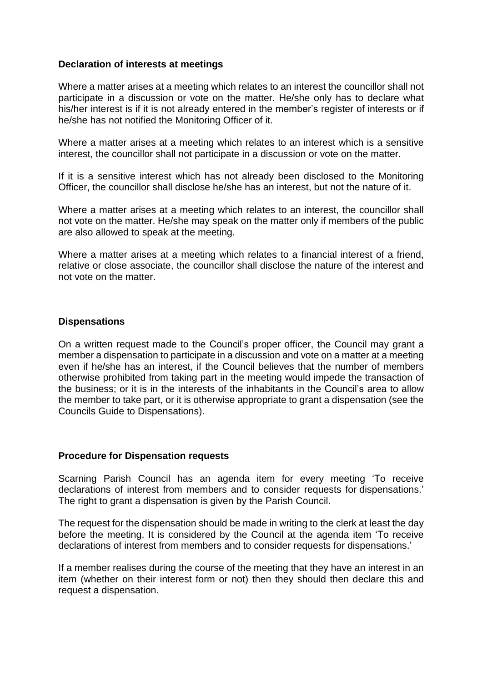## **Declaration of interests at meetings**

Where a matter arises at a meeting which relates to an interest the councillor shall not participate in a discussion or vote on the matter. He/she only has to declare what his/her interest is if it is not already entered in the member's register of interests or if he/she has not notified the Monitoring Officer of it.

Where a matter arises at a meeting which relates to an interest which is a sensitive interest, the councillor shall not participate in a discussion or vote on the matter.

If it is a sensitive interest which has not already been disclosed to the Monitoring Officer, the councillor shall disclose he/she has an interest, but not the nature of it.

Where a matter arises at a meeting which relates to an interest, the councillor shall not vote on the matter. He/she may speak on the matter only if members of the public are also allowed to speak at the meeting.

Where a matter arises at a meeting which relates to a financial interest of a friend, relative or close associate, the councillor shall disclose the nature of the interest and not vote on the matter.

### **Dispensations**

On a written request made to the Council's proper officer, the Council may grant a member a dispensation to participate in a discussion and vote on a matter at a meeting even if he/she has an interest, if the Council believes that the number of members otherwise prohibited from taking part in the meeting would impede the transaction of the business; or it is in the interests of the inhabitants in the Council's area to allow the member to take part, or it is otherwise appropriate to grant a dispensation (see the Councils Guide to Dispensations).

### **Procedure for Dispensation requests**

Scarning Parish Council has an agenda item for every meeting 'To receive declarations of interest from members and to consider requests for dispensations.' The right to grant a dispensation is given by the Parish Council.

The request for the dispensation should be made in writing to the clerk at least the day before the meeting. It is considered by the Council at the agenda item 'To receive declarations of interest from members and to consider requests for dispensations.'

If a member realises during the course of the meeting that they have an interest in an item (whether on their interest form or not) then they should then declare this and request a dispensation.